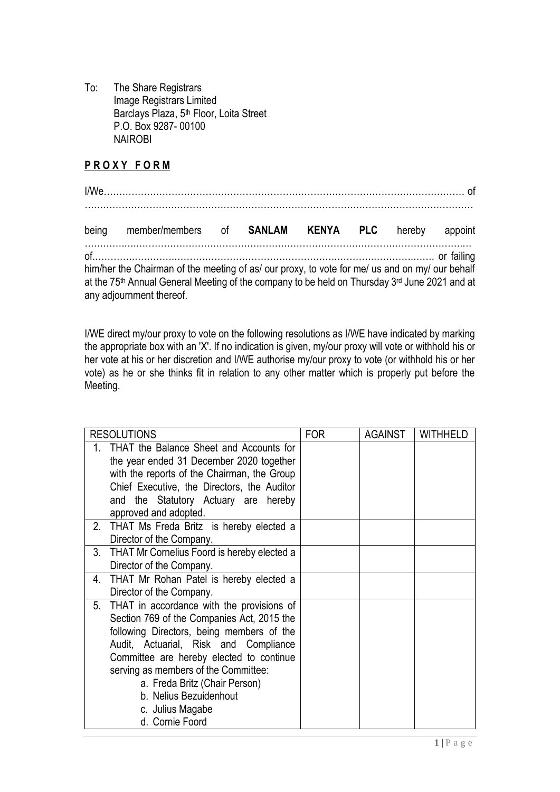To: The Share Registrars Image Registrars Limited Barclays Plaza, 5<sup>th</sup> Floor, Loita Street P.O. Box 9287- 00100 NAIROBI

## **P R O X Y F O R M**

| being member/members of SANLAM KENYA PLC hereby appoint                                                                                                                                                                     |  |  |  |
|-----------------------------------------------------------------------------------------------------------------------------------------------------------------------------------------------------------------------------|--|--|--|
| him/her the Chairman of the meeting of as/ our proxy, to vote for me/ us and on my/ our behalf<br>at the 75th Annual General Meeting of the company to be held on Thursday 3rd June 2021 and at<br>any adjournment thereof. |  |  |  |

I/WE direct my/our proxy to vote on the following resolutions as I/WE have indicated by marking the appropriate box with an 'X'. If no indication is given, my/our proxy will vote or withhold his or her vote at his or her discretion and I/WE authorise my/our proxy to vote (or withhold his or her vote) as he or she thinks fit in relation to any other matter which is properly put before the Meeting.

| <b>RESOLUTIONS</b> |                                                                                                                                                                                                                                                                                                                                                                     | <b>FOR</b> | <b>AGAINST</b> | WITHHELD |
|--------------------|---------------------------------------------------------------------------------------------------------------------------------------------------------------------------------------------------------------------------------------------------------------------------------------------------------------------------------------------------------------------|------------|----------------|----------|
| 1.                 | THAT the Balance Sheet and Accounts for<br>the year ended 31 December 2020 together<br>with the reports of the Chairman, the Group<br>Chief Executive, the Directors, the Auditor<br>and the Statutory Actuary are hereby<br>approved and adopted.                                                                                                                  |            |                |          |
| 2.                 | THAT Ms Freda Britz is hereby elected a<br>Director of the Company.                                                                                                                                                                                                                                                                                                 |            |                |          |
| 3.                 | THAT Mr Cornelius Foord is hereby elected a<br>Director of the Company.                                                                                                                                                                                                                                                                                             |            |                |          |
| 4.                 | THAT Mr Rohan Patel is hereby elected a<br>Director of the Company.                                                                                                                                                                                                                                                                                                 |            |                |          |
| 5.                 | THAT in accordance with the provisions of<br>Section 769 of the Companies Act, 2015 the<br>following Directors, being members of the<br>Audit, Actuarial, Risk and Compliance<br>Committee are hereby elected to continue<br>serving as members of the Committee:<br>a. Freda Britz (Chair Person)<br>b. Nelius Bezuidenhout<br>c. Julius Magabe<br>d. Cornie Foord |            |                |          |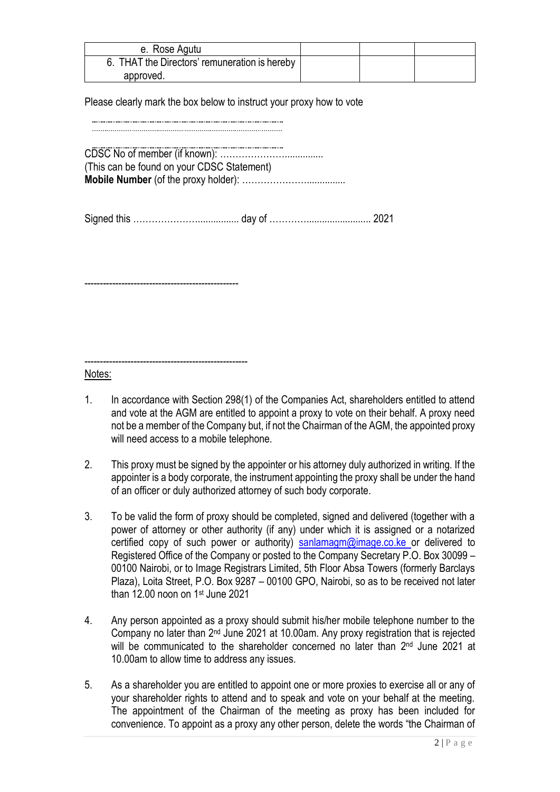| e. Rose Agutu                                 |  |  |
|-----------------------------------------------|--|--|
| 6. THAT the Directors' remuneration is hereby |  |  |
| approved.                                     |  |  |

Please clearly mark the box below to instruct your proxy how to vote

CDSC No of member (if known): …………………............... (This can be found on your CDSC Statement) **Mobile Number** (of the proxy holder): …………………............... Signed this …………………................ day of …………......................... 2021

--------------------------------------------------

-----------------------------------------------------

Notes:

- 1. In accordance with Section 298(1) of the Companies Act, shareholders entitled to attend and vote at the AGM are entitled to appoint a proxy to vote on their behalf. A proxy need not be a member of the Company but, if not the Chairman of the AGM, the appointed proxy will need access to a mobile telephone.
- 2. This proxy must be signed by the appointer or his attorney duly authorized in writing. If the appointer is a body corporate, the instrument appointing the proxy shall be under the hand of an officer or duly authorized attorney of such body corporate.
- 3. To be valid the form of proxy should be completed, signed and delivered (together with a power of attorney or other authority (if any) under which it is assigned or a notarized certified copy of such power or authority) [sanlamagm@image.co.ke](mailto:sanlamagm@image.co.ke) or delivered to Registered Office of the Company or posted to the Company Secretary P.O. Box 30099 – 00100 Nairobi, or to Image Registrars Limited, 5th Floor Absa Towers (formerly Barclays Plaza), Loita Street, P.O. Box 9287 – 00100 GPO, Nairobi, so as to be received not later than 12.00 noon on 1st June 2021
- 4. Any person appointed as a proxy should submit his/her mobile telephone number to the Company no later than 2<sup>nd</sup> June 2021 at 10.00am. Any proxy registration that is rejected will be communicated to the shareholder concerned no later than 2<sup>nd</sup> June 2021 at 10.00am to allow time to address any issues.
- 5. As a shareholder you are entitled to appoint one or more proxies to exercise all or any of your shareholder rights to attend and to speak and vote on your behalf at the meeting. The appointment of the Chairman of the meeting as proxy has been included for convenience. To appoint as a proxy any other person, delete the words "the Chairman of